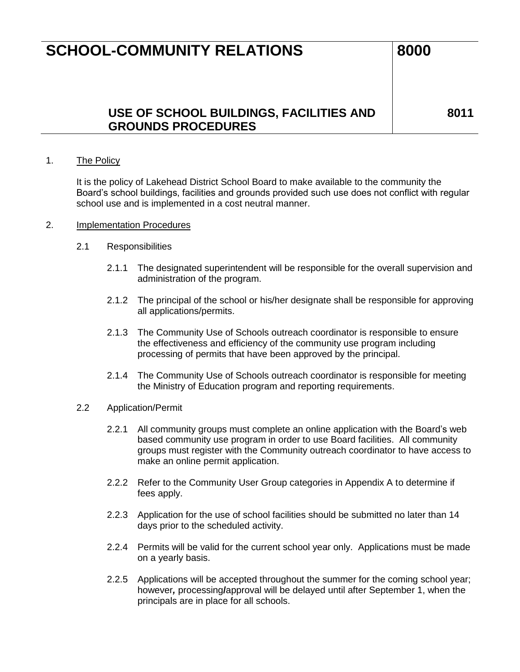### **USE OF SCHOOL BUILDINGS, FACILITIES AND GROUNDS PROCEDURES**

**8011**

#### 1. The Policy

It is the policy of Lakehead District School Board to make available to the community the Board's school buildings, facilities and grounds provided such use does not conflict with regular school use and is implemented in a cost neutral manner.

#### 2. Implementation Procedures

- 2.1 Responsibilities
	- 2.1.1 The designated superintendent will be responsible for the overall supervision and administration of the program.
	- 2.1.2 The principal of the school or his/her designate shall be responsible for approving all applications/permits.
	- 2.1.3 The Community Use of Schools outreach coordinator is responsible to ensure the effectiveness and efficiency of the community use program including processing of permits that have been approved by the principal.
	- 2.1.4 The Community Use of Schools outreach coordinator is responsible for meeting the Ministry of Education program and reporting requirements.
- 2.2 Application/Permit
	- 2.2.1 All community groups must complete an online application with the Board's web based community use program in order to use Board facilities. All community groups must register with the Community outreach coordinator to have access to make an online permit application.
	- 2.2.2 Refer to the Community User Group categories in Appendix A to determine if fees apply.
	- 2.2.3 Application for the use of school facilities should be submitted no later than 14 days prior to the scheduled activity.
	- 2.2.4 Permits will be valid for the current school year only. Applications must be made on a yearly basis.
	- 2.2.5 Applications will be accepted throughout the summer for the coming school year; however*,* processing**/**approval will be delayed until after September 1, when the principals are in place for all schools.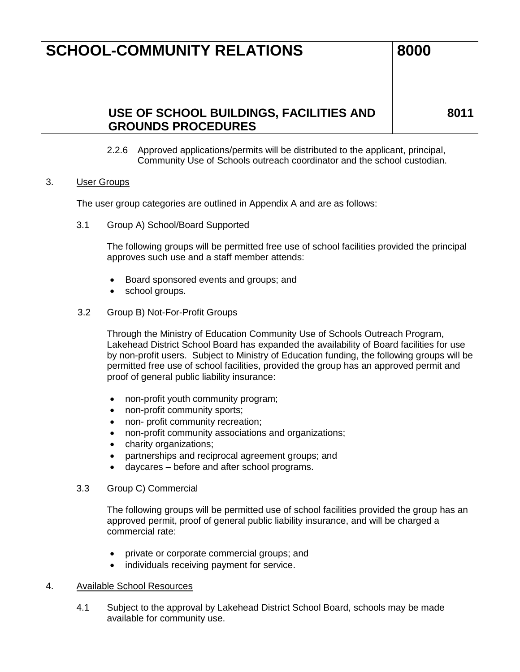### **USE OF SCHOOL BUILDINGS, FACILITIES AND GROUNDS PROCEDURES**

**8011**

2.2.6 Approved applications/permits will be distributed to the applicant, principal, Community Use of Schools outreach coordinator and the school custodian.

#### 3. User Groups

The user group categories are outlined in Appendix A and are as follows:

3.1 Group A) School/Board Supported

The following groups will be permitted free use of school facilities provided the principal approves such use and a staff member attends:

- Board sponsored events and groups; and
- school groups.
- 3.2 Group B) Not-For-Profit Groups

Through the Ministry of Education Community Use of Schools Outreach Program, Lakehead District School Board has expanded the availability of Board facilities for use by non-profit users. Subject to Ministry of Education funding, the following groups will be permitted free use of school facilities, provided the group has an approved permit and proof of general public liability insurance:

- non-profit youth community program;
- non-profit community sports;
- non- profit community recreation;
- non-profit community associations and organizations;
- charity organizations;
- partnerships and reciprocal agreement groups; and
- daycares before and after school programs.
- 3.3 Group C) Commercial

The following groups will be permitted use of school facilities provided the group has an approved permit, proof of general public liability insurance, and will be charged a commercial rate:

- private or corporate commercial groups; and
- individuals receiving payment for service.

#### 4. Available School Resources

4.1 Subject to the approval by Lakehead District School Board, schools may be made available for community use.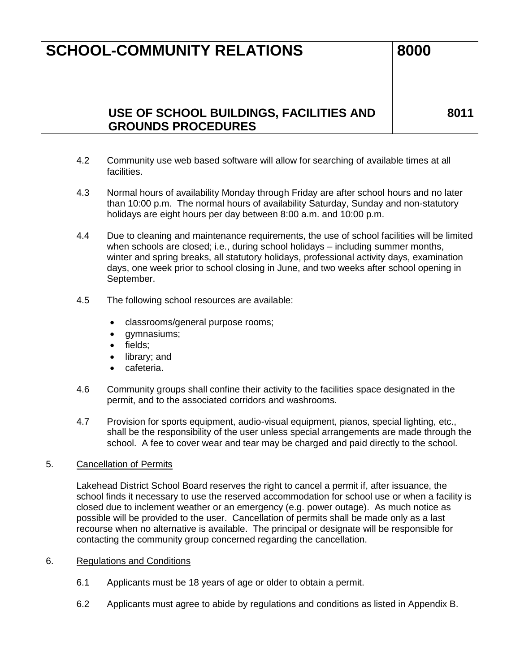## **USE OF SCHOOL BUILDINGS, FACILITIES AND GROUNDS PROCEDURES**

**8011**

- 4.2 Community use web based software will allow for searching of available times at all facilities.
- 4.3 Normal hours of availability Monday through Friday are after school hours and no later than 10:00 p.m. The normal hours of availability Saturday, Sunday and non-statutory holidays are eight hours per day between 8:00 a.m. and 10:00 p.m.
- 4.4 Due to cleaning and maintenance requirements, the use of school facilities will be limited when schools are closed; i.e., during school holidays – including summer months, winter and spring breaks, all statutory holidays, professional activity days, examination days, one week prior to school closing in June, and two weeks after school opening in September.
- 4.5 The following school resources are available:
	- classrooms/general purpose rooms;
	- gymnasiums;
	- fields:
	- library; and
	- cafeteria.
- 4.6 Community groups shall confine their activity to the facilities space designated in the permit, and to the associated corridors and washrooms.
- 4.7 Provision for sports equipment, audio-visual equipment, pianos, special lighting, etc., shall be the responsibility of the user unless special arrangements are made through the school. A fee to cover wear and tear may be charged and paid directly to the school.

#### 5. Cancellation of Permits

Lakehead District School Board reserves the right to cancel a permit if, after issuance, the school finds it necessary to use the reserved accommodation for school use or when a facility is closed due to inclement weather or an emergency (e.g. power outage). As much notice as possible will be provided to the user. Cancellation of permits shall be made only as a last recourse when no alternative is available. The principal or designate will be responsible for contacting the community group concerned regarding the cancellation.

#### 6. Regulations and Conditions

- 6.1 Applicants must be 18 years of age or older to obtain a permit.
- 6.2 Applicants must agree to abide by regulations and conditions as listed in Appendix B.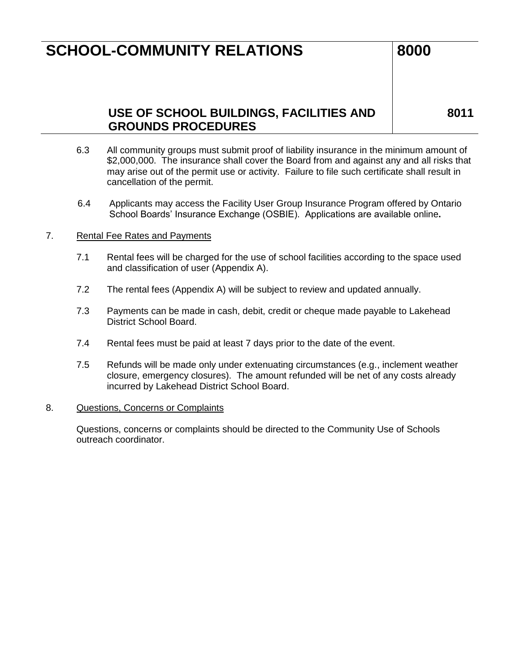### **8011**

### **USE OF SCHOOL BUILDINGS, FACILITIES AND GROUNDS PROCEDURES**

6.3 All community groups must submit proof of liability insurance in the minimum amount of \$2,000,000. The insurance shall cover the Board from and against any and all risks that may arise out of the permit use or activity. Failure to file such certificate shall result in cancellation of the permit.

6.4 Applicants may access the Facility User Group Insurance Program offered by Ontario School Boards' Insurance Exchange (OSBIE). Applications are available online**.**

#### 7. Rental Fee Rates and Payments

- 7.1 Rental fees will be charged for the use of school facilities according to the space used and classification of user (Appendix A).
- 7.2 The rental fees (Appendix A) will be subject to review and updated annually.
- 7.3 Payments can be made in cash, debit, credit or cheque made payable to Lakehead District School Board.
- 7.4 Rental fees must be paid at least 7 days prior to the date of the event.
- 7.5 Refunds will be made only under extenuating circumstances (e.g., inclement weather closure, emergency closures). The amount refunded will be net of any costs already incurred by Lakehead District School Board.

#### 8. Questions, Concerns or Complaints

Questions, concerns or complaints should be directed to the Community Use of Schools outreach coordinator.